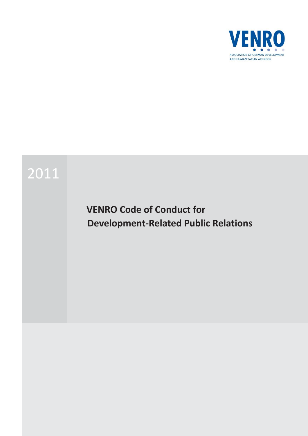

# 2011

# **VENRO Code of Conduct for Development-Related Public Relations**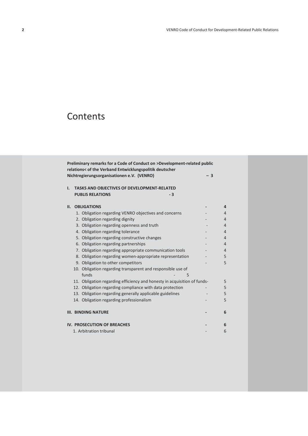# **Contents**

|    | Preliminary remarks for a Code of Conduct on >Development-related public<br>relations< of the Verband Entwicklungspolitik deutscher |      |                |
|----|-------------------------------------------------------------------------------------------------------------------------------------|------|----------------|
|    | Nichtregierungsorganisationen e.V. (VENRO)                                                                                          | $-3$ |                |
| I. | <b>TASKS AND OBJECTIVES OF DEVELOPMENT-RELATED</b>                                                                                  |      |                |
|    | <b>PUBLIS RELATIONS</b><br>$-3$                                                                                                     |      |                |
| П. | <b>OBLIGATIONS</b>                                                                                                                  |      | 4              |
|    | 1. Obligation regarding VENRO objectives and concerns                                                                               |      | 4              |
|    | 2. Obligation regarding dignity                                                                                                     |      | 4              |
|    | 3. Obligation regarding openness and truth                                                                                          |      | 4              |
|    | 4. Obligation regarding tolerance                                                                                                   |      | $\overline{4}$ |
|    | 5. Obligation regarding constructive changes                                                                                        |      | 4              |
|    | 6. Obligation regarding partnerships                                                                                                |      | 4              |
|    | 7. Obligation regarding appropriate communication tools                                                                             |      | 4              |
|    | 8. Obligation regarding women-appropriate representation                                                                            |      | 5              |
|    | 9. Obligation to other competitors                                                                                                  |      | 5              |
|    | 10. Obligation regarding transparent and responsible use of                                                                         |      |                |
|    | funds<br>5                                                                                                                          |      |                |
|    | 11. Obligation regarding efficiency and honesty in acquisition of funds-                                                            |      | 5              |
|    | 12. Obligation regarding compliance with data protection                                                                            |      | 5              |
|    | 13. Obligation regarding generally applicable guidelines                                                                            |      | 5              |
|    | 14. Obligation regarding professionalism                                                                                            |      | 5              |
|    | <b>III. BINDING NATURE</b>                                                                                                          |      | 6              |
|    |                                                                                                                                     |      |                |
|    | IV. PROSECUTION OF BREACHES                                                                                                         |      | 6              |
|    | 1. Arbitration tribunal                                                                                                             |      | 6              |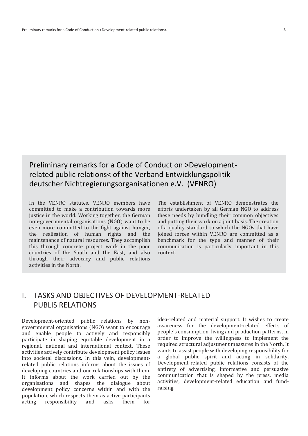# Preliminary remarks for a Code of Conduct on >Developmentrelated public relations< of the Verband Entwicklungspolitik deutscher Nichtregierungsorganisationen e.V. (VENRO)

In the VENRO statutes, VENRO members have committed to make a contribution towards more justice in the world. Working together, the German non-governmental organisations (NGO) want to be even more committed to the fight against hunger, the realisation of human rights and the maintenance of natural resources. They accomplish this through concrete project work in the poor countries of the South and the East, and also through their advocacy and public relations activities in the North.

The establishment of VENRO demonstrates the efforts undertaken by all German NGO to address these needs by bundling their common objectives and putting their work on a joint basis. The creation of a quality standard to which the NGOs that have joined forces within VENRO are committed as a benchmark for the type and manner of their communication is particularly important in this context.

# I. TASKS AND OBJECTIVES OF DEVELOPMENT-RELATED PUBLIS RELATIONS

Development-oriented public relations by nongovernmental organisations (NGO) want to encourage and enable people to actively and responsibly participate in shaping equitable development in a regional, national and international context. These activities actively contribute development policy issues into societal discussions. In this vein, developmentrelated public relations informs about the issues of developing countries and our relationships with them. It informs about the work carried out by the organisations and shapes the dialogue about development policy concerns within and with the population, which respects them as active participants acting responsibility and asks them for

idea-related and material support. It wishes to create awareness for the development-related effects of people's consumption, living and production patterns, in order to improve the willingness to implement the required structural adjustment measures in the North. It wants to assist people with developing responsibility for a global public spirit and acting in solidarity. Development-related public relations consists of the entirety of advertising, informative and persuasive communication that is shaped by the press, media activities, development-related education and fundraising.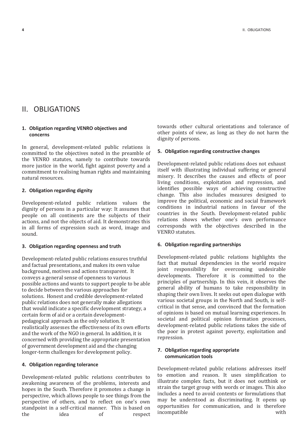## II. OBLIGATIONS

#### **1. Obligation regarding VENRO objectives and concerns**

In general, development-related public relations is committed to the objectives noted in the preamble of the VENRO statutes, namely to contribute towards more justice in the world, fight against poverty and a commitment to realising human rights and maintaining natural resources.

#### **2. Obligation regarding dignity**

Development-related public relations values the dignity of persons in a particular way: It assumes that people on all continents are the subjects of their actions, and not the objects of aid. It demonstrates this in all forms of expression such as word, image and sound.

#### **3. Obligation regarding openness and truth**

Development-related public relations ensures truthful and factual presentations, and makes its own value background, motives and actions transparent. It conveys a general sense of openness to various possible actions and wants to support people to be able to decide between the various approaches for solutions. Honest and credible development-related public relations does not generally make allegations that would indicate a specific development strategy, a certain form of aid or a certain developmentpedagogical approach as the only solution. It realistically assesses the effectiveness of its own efforts and the work of the NGO in general. In addition, it is concerned with providing the appropriate presentation of government development aid and the changing longer-term challenges for development policy.

#### **4. Obligation regarding tolerance**

Development-related public relations contributes to awakening awareness of the problems, interests and hopes in the South. Therefore it promotes a change in perspective, which allows people to see things from the perspective of others, and to reflect on one's own standpoint in a self-critical manner. This is based on the idea of respect towards other cultural orientations and tolerance of other points of view, as long as they do not harm the dignity of persons.

#### **5. Obligation regarding constructive changes**

Development-related public relations does not exhaust itself with illustrating individual suffering or general misery. It describes the causes and effects of poor living conditions, exploitation and repression, and identifies possible ways of achieving constructive change. This also includes measures designed to improve the political, economic and social framework conditions in industrial nations in favour of the countries in the South. Development-related public relations shows whether one's own performance corresponds with the objectives described in the VENRO statutes.

#### **6. Obligation regarding partnerships**

Development-related public relations highlights the fact that mutual dependencies in the world require joint responsibility for overcoming undesirable developments. Therefore it is committed to the principles of partnership. In this vein, it observes the general ability of humans to take responsibility in shaping their own lives. It seeks out open dialogue with various societal groups in the North and South, is selfcritical in that sense, and convinced that the formation of opinions is based on mutual learning experiences. In societal and political opinion formation processes, development-related public relations takes the side of the poor in protest against poverty, exploitation and repression.

#### **7. Obligation regarding appropriate communication tools**

Development-related public relations addresses itself to emotion and reason. It uses simplification to illustrate complex facts, but it does not outthink or strain the target group with words or images. This also includes a need to avoid contents or formulations that may be understood as discriminating. It opens up opportunities for communication, and is therefore incompatible with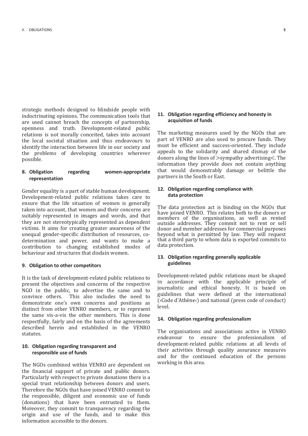strategic methods designed to blindside people with indoctrinating opinions. The communication tools that are used cannot breach the concepts of partnership, openness and truth. Development-related public relations is not morally conceited, takes into account the local societal situation and thus endeavours to identify the interaction between life in our society and the problems of developing countries wherever possible.

#### **8. Obligation regarding women-appropriate representation**

Gender equality is a part of stable human development. Development-related public relations takes care to ensure that the life situation of women is generally taken into account, that women and their concerns are suitably represented in images and words, and that they are not stereotypically represented as dependent victims. It aims for creating greater awareness of the unequal gender-specific distribution of resources, codetermination and power, and wants to make a contribution to changing established modes of behaviour and structures that disdain women.

#### **9. Obligation to other competitors**

It is the task of development-related public relations to present the objectives and concerns of the respective NGO in the public, to advertise the same and to convince others. This also includes the need to demonstrate one's own concerns and positions as distinct from other VENRO members, or to represent the same vis-a-vis the other members. This is done respectfully, fairly and on the basis of the agreements described herein and established in the VENRO statutes.

#### **10. Obligation regarding transparent and responsible use of funds**

The NGOs combined within VENRO are dependent on the financial support of private and public donors. Particularly with respect to private donations there is a special trust relationship between donors and users. Therefore the NGOs that have joined VENRO commit to the responsible, diligent and economic use of funds (donations) that have been entrusted to them. Moreover, they commit to transparency regarding the origin and use of the funds, and to make this information accessible to the donors.

#### **11. Obligation regarding efficiency and honesty in acquisition of funds**

The marketing measures used by the NGOs that are part of VENRO are also used to procure funds. They must be efficient and success-oriented. They include appeals to the solidarity and shared dismay of the donors along the lines of >sympathy advertising<. The information they provide does not contain anything that would demonstrably damage or belittle the partners in the South or East.

#### **12. Obligation regarding compliance with data protection**

The data protection act is binding on the NGOs that have joined VENRO. This relates both to the donors or members of the organisations, as well as rented outside addresses. They commit not to rent or sell donor and member addresses for commercial purposes beyond what is permitted by law. They will request that a third party to whom data is exported commits to data protection.

#### **13. Obligation regarding generally applicable guidelines**

Development-related public relations must be shaped in accordance with the applicable principle of journalistic and ethical honesty. It is based on guidelines that were defined at the international (›Code d'Athène‹) and national (press code of conduct) level.

#### **14. Obligation regarding professionalism**

The organisations and associations active in VENRO endeavour to ensure the professionalism of development-related public relations at all levels of their activities through quality assurance measures and for the continued education of the persons working in this area.